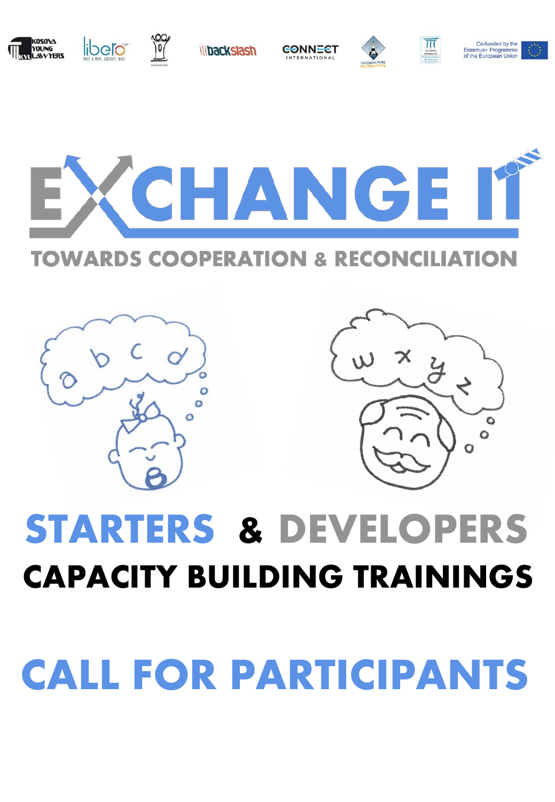# **CALL FOR PARTICIPANTS**

# **CAPACITY BUILDING TRAININGS**

**STARTERS & DEVELOPERS**











CONNECT





Co-funded by the Erasmus+ Programme

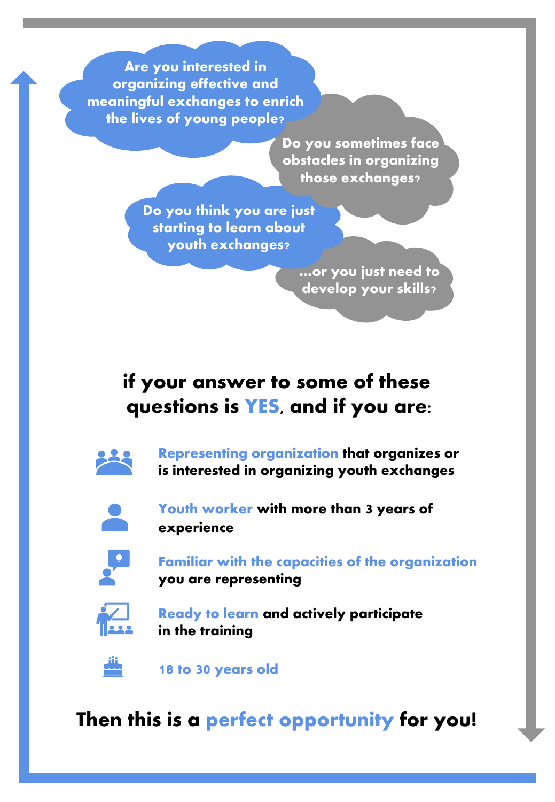**Are you interested in organizing effective and meaningful exchanges to enrich the lives of young people?**

> **Do you sometimes face obstacles in organizing those exchanges?**

**Do you think you are just starting to learn about youth exchanges?**

> **…or you just need to develop your skills?**

### **if your answer to some of these questions is YES, and if you are:**



**Representing organization that organizes or is interested in organizing youth exchanges**



**Youth worker with more than 3 years of experience**



**Familiar with the capacities of the organization you are representing**



**Ready to learn and actively participate in the training**



**18 to 30 years old**

**Then this is a perfect opportunity for you!**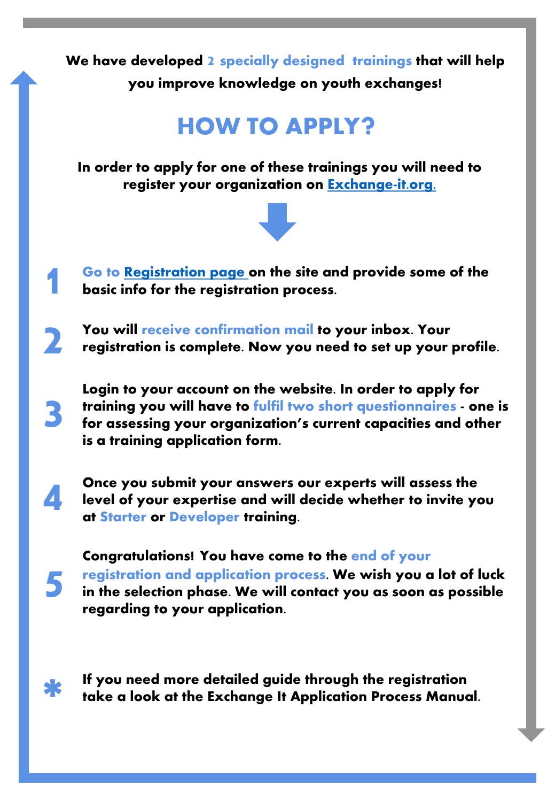**We have developed 2 specially designed trainings that will help you improve knowledge on youth exchanges!**

### **HOW TO APPLY?**

**In order to apply for one of these trainings you will need to register your organization on [Exchange-it.org.](http://exchange-it.org/)**



- **Go to [Registration page o](http://exchange-it.org/register/)n the site and provide some of the 1 basic info for the registration process.**
- **You will receive confirmation mail to your inbox. Your 2 registration is complete. Now you need to set up your profile.**

**Login to your account on the website. In order to apply for training you will have to fulfil two short questionnaires - one is for assessing your organization's current capacities and other is a training application form.**

- **4** Once you submit your answers our experts will assess the level of your expertise and will decide whether to invite your straining. **level of your expertise and will decide whether to invite you at Starter or Developer training.**
	- **Congratulations! You have come to the end of your registration and application process. We wish you a lot of luck in the selection phase. We will contact you as soon as possible regarding to your application.**



**5**

**3**

**If you need more detailed guide through the registration take a look at the Exchange It Application Process Manual.**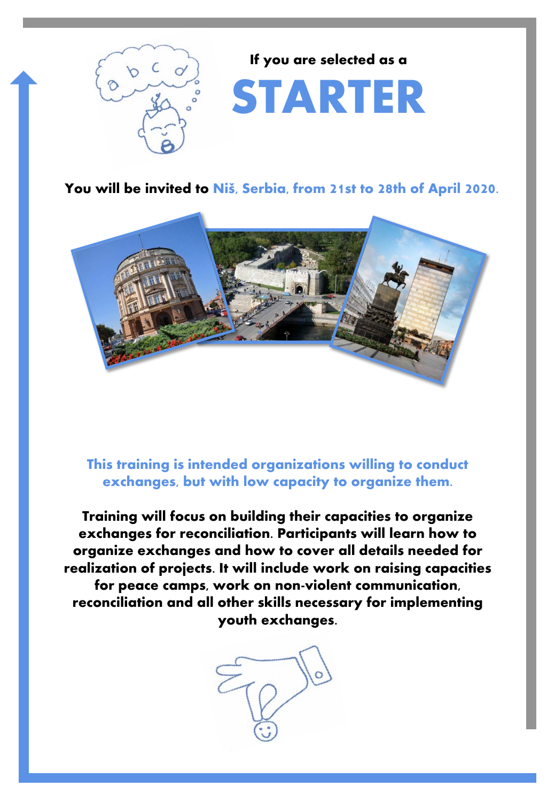

**If you are selected as a** 

## **STARTER**

**You will be invited to Niš, Serbia, from 21st to 28th of April 2020.** 



**This training is intended organizations willing to conduct exchanges, but with low capacity to organize them.**

**Training will focus on building their capacities to organize exchanges for reconciliation. Participants will learn how to organize exchanges and how to cover all details needed for realization of projects. It will include work on raising capacities for peace camps, work on non-violent communication, reconciliation and all other skills necessary for implementing youth exchanges.**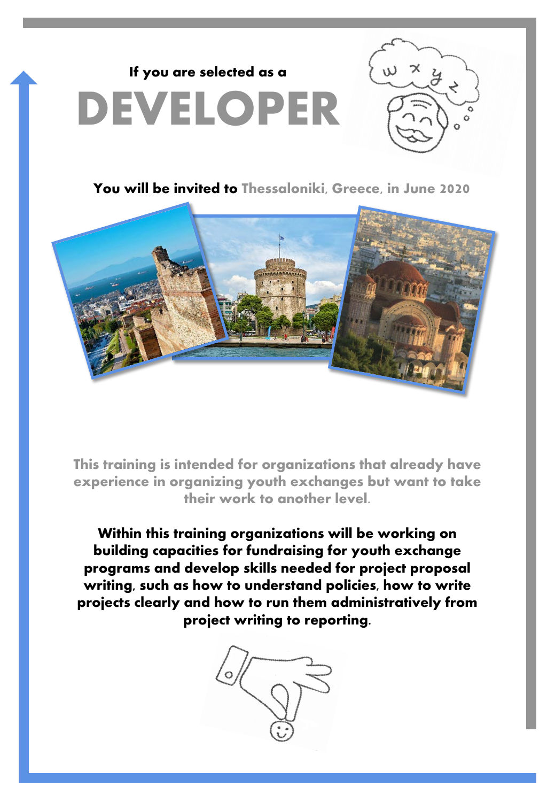



**You will be invited to Thessaloniki, Greece, in June 2020**



**This training is intended for organizations that already have experience in organizing youth exchanges but want to take their work to another level.**

**Within this training organizations will be working on building capacities for fundraising for youth exchange programs and develop skills needed for project proposal writing, such as how to understand policies, how to write projects clearly and how to run them administratively from project writing to reporting.**